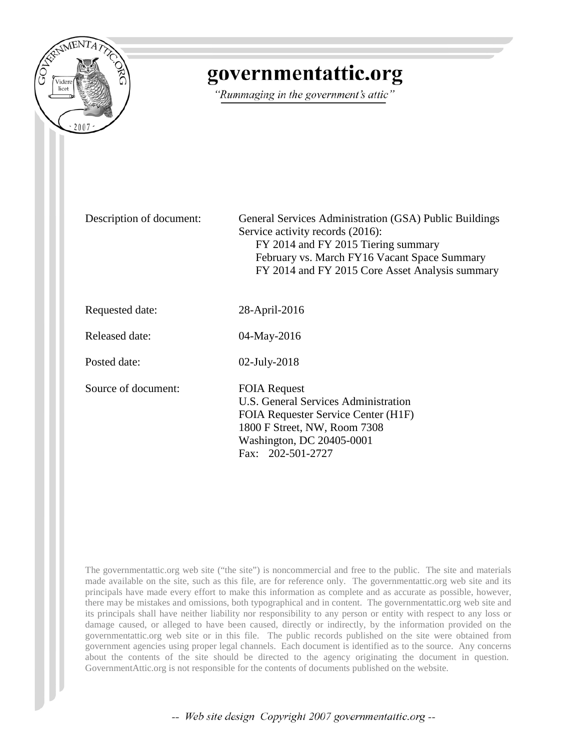

## governmentattic.org

"Rummaging in the government's attic"

Description of document: General Services Administration (GSA) Public Buildings Service activity records (2016): FY 2014 and FY 2015 Tiering summary February vs. March FY16 Vacant Space Summary FY 2014 and FY 2015 Core Asset Analysis summary

Requested date: 28-April-2016

Released date: 04-May-2016

Posted date: 02-July-2018

Source of document: FOIA Request

U.S. General Services Administration FOIA Requester Service Center (H1F) 1800 F Street, NW, Room 7308 Washington, DC 20405-0001 Fax: 202-501-2727

The governmentattic.org web site ("the site") is noncommercial and free to the public. The site and materials made available on the site, such as this file, are for reference only. The governmentattic.org web site and its principals have made every effort to make this information as complete and as accurate as possible, however, there may be mistakes and omissions, both typographical and in content. The governmentattic.org web site and its principals shall have neither liability nor responsibility to any person or entity with respect to any loss or damage caused, or alleged to have been caused, directly or indirectly, by the information provided on the governmentattic.org web site or in this file. The public records published on the site were obtained from government agencies using proper legal channels. Each document is identified as to the source. Any concerns about the contents of the site should be directed to the agency originating the document in question. GovernmentAttic.org is not responsible for the contents of documents published on the website.

-- Web site design Copyright 2007 governmentattic.org --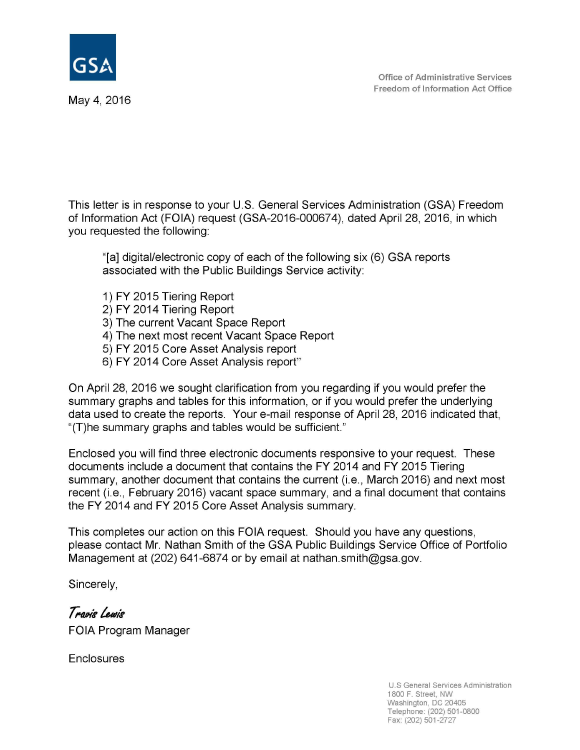

May 4, 2016

This letter is in response to your U.S. General Services Administration (GSA) Freedom of Information Act (FOIA) request (GSA-2016-000674), dated April 28, 2016, in which you requested the following:

"[a] digital/electronic copy of each of the following six (6) GSA reports associated with the Public Buildings Service activity:

- 1) FY 2015 Tiering Report
- 2) FY 2014 Tiering Report
- 3) The current Vacant Space Report
- 4) The next most recent Vacant Space Report
- 5) FY 2015 Core Asset Analysis report
- 6) FY 2014 Core Asset Analysis report"

On April 28, 2016 we sought clarification from you regarding if you would prefer the summary graphs and tables for this information, or if you would prefer the underlying data used to create the reports. Your e-mail response of April 28, 2016 indicated that, "(T)he summary graphs and tables would be sufficient."

Enclosed you will find three electronic documents responsive to your request. These documents include a document that contains the FY 2014 and **FY** 2015 Tiering summary, another document that contains the current (i.e., March 2016) and next most recent (i.e., February 2016) vacant space summary, and a final document that contains the FY 2014 and FY 2015 Core Asset Analysis summary.

This completes our action on this FOIA request. Should you have any questions, please contact Mr. Nathan Smith of the GSA Public Buildings Service Office of Portfolio Management at (202) 641-6874 or by email at nathan.smith@gsa.gov.

Sincerely,

Travis Lewis FOIA Program Manager

**Enclosures**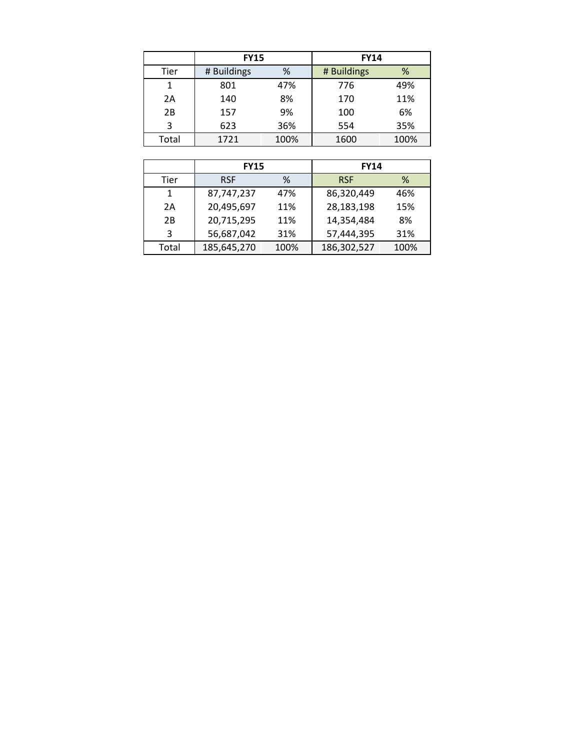|       | <b>FY15</b>      |      | <b>FY14</b> |      |
|-------|------------------|------|-------------|------|
| Tier  | # Buildings<br>% |      | # Buildings | %    |
| 1     | 801              | 47%  | 776         | 49%  |
| 2A    | 140              | 8%   | 170         | 11%  |
| 2B    | 157              | 9%   | 100         | 6%   |
| 3     | 623              | 36%  | 554         | 35%  |
| Total | 1721             | 100% | 1600        | 100% |

|       | <b>FY15</b> |      | <b>FY14</b> |      |  |
|-------|-------------|------|-------------|------|--|
| Tier  | <b>RSF</b>  | ℅    | <b>RSF</b>  | ℅    |  |
| 1     | 87,747,237  | 47%  | 86,320,449  | 46%  |  |
| 2A    | 20,495,697  | 11%  | 28,183,198  | 15%  |  |
| 2B    | 20,715,295  | 11%  | 14,354,484  | 8%   |  |
| 3     | 56,687,042  | 31%  | 57,444,395  | 31%  |  |
| Total | 185,645,270 | 100% | 186,302,527 | 100% |  |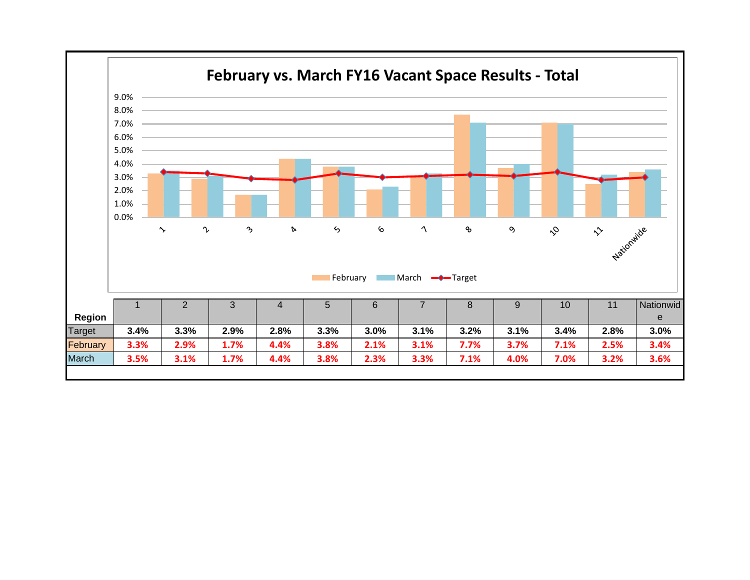